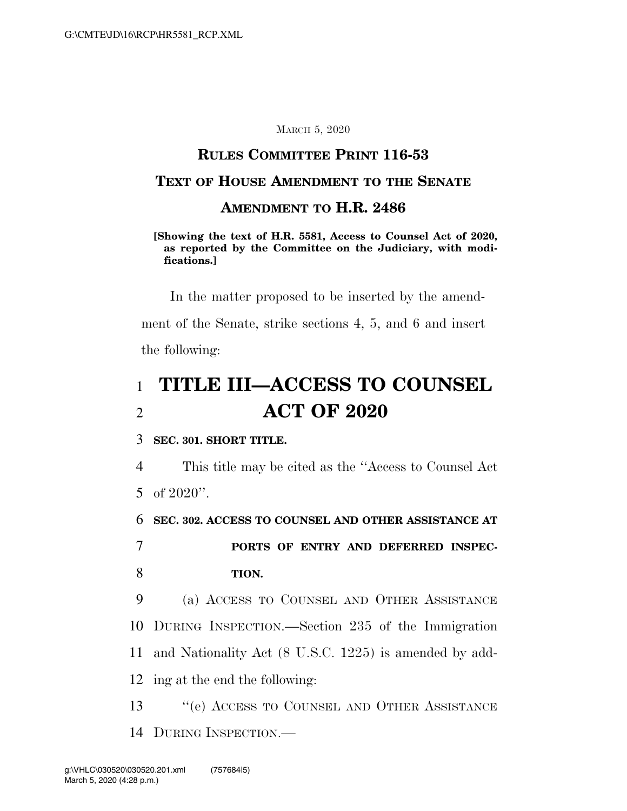#### MARCH 5, 2020

#### **RULES COMMITTEE PRINT 116-53**

### **TEXT OF HOUSE AMENDMENT TO THE SENATE**

#### **AMENDMENT TO H.R. 2486**

**[Showing the text of H.R. 5581, Access to Counsel Act of 2020, as reported by the Committee on the Judiciary, with modifications.]** 

In the matter proposed to be inserted by the amendment of the Senate, strike sections 4, 5, and 6 and insert the following:

# 1 **TITLE III—ACCESS TO COUNSEL**  2 **ACT OF 2020**

#### 3 **SEC. 301. SHORT TITLE.**

4 This title may be cited as the ''Access to Counsel Act 5 of 2020''.

6 **SEC. 302. ACCESS TO COUNSEL AND OTHER ASSISTANCE AT** 

7 **PORTS OF ENTRY AND DEFERRED INSPEC-**8 **TION.** 

 (a) ACCESS TO COUNSEL AND OTHER ASSISTANCE DURING INSPECTION.—Section 235 of the Immigration and Nationality Act (8 U.S.C. 1225) is amended by add-ing at the end the following:

13 ''(e) ACCESS TO COUNSEL AND OTHER ASSISTANCE 14 DURING INSPECTION.—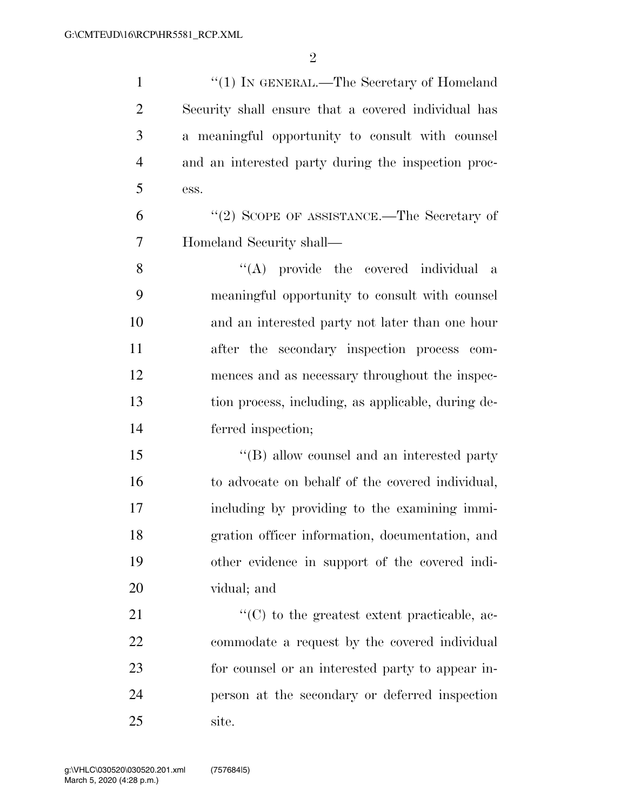1 "(1) IN GENERAL.—The Secretary of Homeland Security shall ensure that a covered individual has a meaningful opportunity to consult with counsel and an interested party during the inspection proc-ess.

6 "(2) SCOPE OF ASSISTANCE.—The Secretary of Homeland Security shall—

8 ''(A) provide the covered individual a meaningful opportunity to consult with counsel and an interested party not later than one hour after the secondary inspection process com- mences and as necessary throughout the inspec- tion process, including, as applicable, during de-ferred inspection;

15 "(B) allow counsel and an interested party to advocate on behalf of the covered individual, including by providing to the examining immi- gration officer information, documentation, and other evidence in support of the covered indi-vidual; and

 $\langle ^{\prime}(C) \rangle$  to the greatest extent practicable, ac- commodate a request by the covered individual for counsel or an interested party to appear in- person at the secondary or deferred inspection site.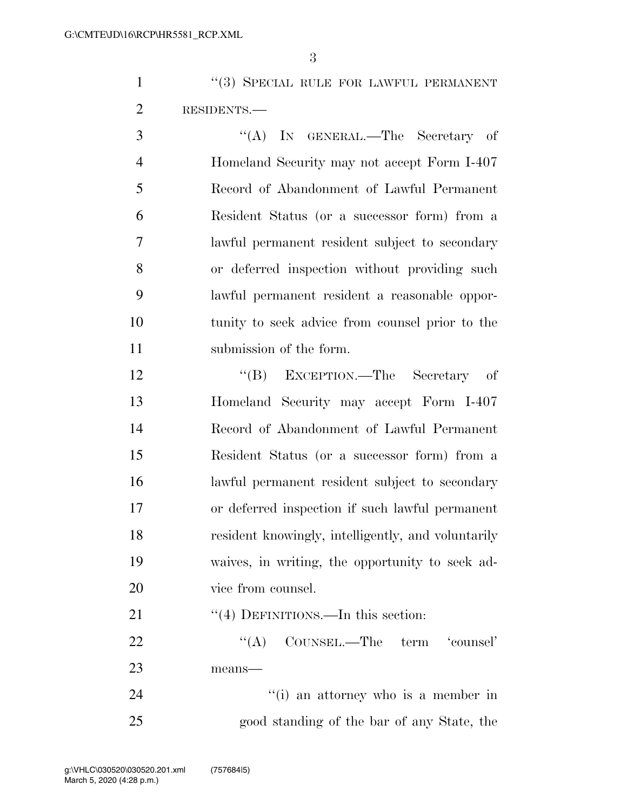1 ''(3) SPECIAL RULE FOR LAWFUL PERMANENT 2 RESIDENTS.—

3 "(A) IN GENERAL.—The Secretary of Homeland Security may not accept Form I-407 Record of Abandonment of Lawful Permanent Resident Status (or a successor form) from a lawful permanent resident subject to secondary or deferred inspection without providing such lawful permanent resident a reasonable oppor- tunity to seek advice from counsel prior to the 11 submission of the form.

12 "(B) EXCEPTION.—The Secretary of Homeland Security may accept Form I-407 Record of Abandonment of Lawful Permanent Resident Status (or a successor form) from a lawful permanent resident subject to secondary or deferred inspection if such lawful permanent resident knowingly, intelligently, and voluntarily waives, in writing, the opportunity to seek ad-vice from counsel.

21 ''(4) DEFINITIONS.—In this section:

22 "(A) COUNSEL.—The term 'counsel' means—

24 ''(i) an attorney who is a member in good standing of the bar of any State, the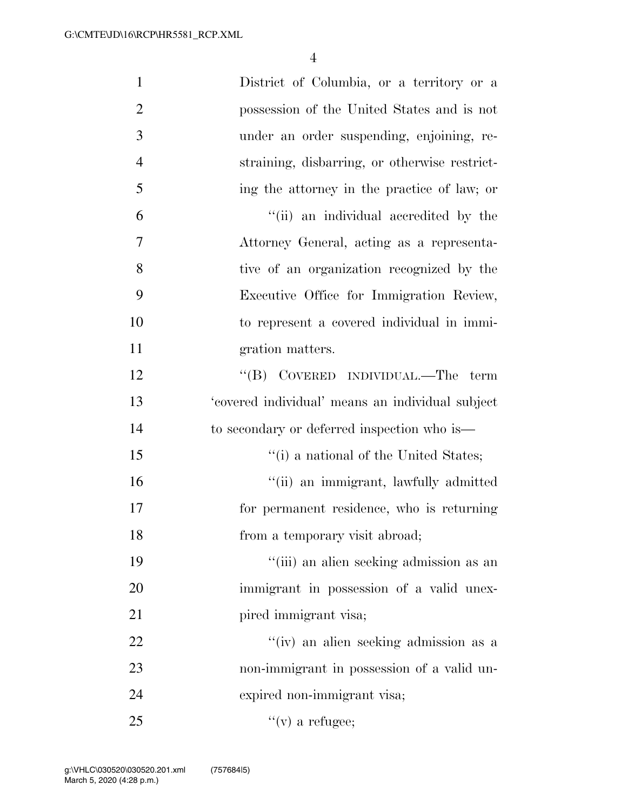| $\mathbf{1}$   | District of Columbia, or a territory or a        |
|----------------|--------------------------------------------------|
| $\overline{2}$ | possession of the United States and is not       |
| 3              | under an order suspending, enjoining, re-        |
| $\overline{4}$ | straining, disbarring, or otherwise restrict-    |
| 5              | ing the attorney in the practice of law; or      |
| 6              | "(ii) an individual accredited by the            |
| $\overline{7}$ | Attorney General, acting as a representa-        |
| 8              | tive of an organization recognized by the        |
| 9              | Executive Office for Immigration Review,         |
| 10             | to represent a covered individual in immi-       |
| 11             | gration matters.                                 |
| 12             | "(B) COVERED INDIVIDUAL.—The term                |
| 13             | 'covered individual' means an individual subject |
| 14             | to secondary or deferred inspection who is—      |
| 15             | "(i) a national of the United States;            |
| 16             | "(ii) an immigrant, lawfully admitted            |
| 17             | for permanent residence, who is returning        |
| 18             | from a temporary visit abroad;                   |
| 19             | "(iii) an alien seeking admission as an          |
| 20             | immigrant in possession of a valid unex-         |
| 21             | pired immigrant visa;                            |
| 22             | "(iv) an alien seeking admission as a            |
| 23             | non-immigrant in possession of a valid un-       |
| 24             | expired non-immigrant visa;                      |
| 25             | $f'(v)$ a refugee;                               |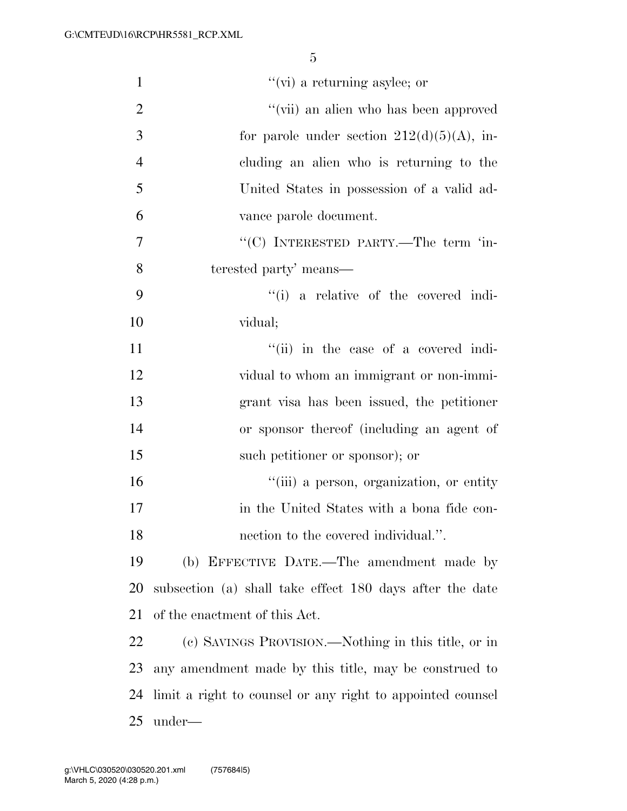| $\mathbf{1}$   | $``$ (vi) a returning asylee; or                           |
|----------------|------------------------------------------------------------|
| $\overline{2}$ | "(vii) an alien who has been approved                      |
| 3              | for parole under section $212(d)(5)(A)$ , in-              |
| $\overline{4}$ | cluding an alien who is returning to the                   |
| 5              | United States in possession of a valid ad-                 |
| 6              | vance parole document.                                     |
| $\overline{7}$ | "(C) INTERESTED PARTY.—The term 'in-                       |
| 8              | terested party' means—                                     |
| 9              | "(i) a relative of the covered indi-                       |
| 10             | vidual;                                                    |
| 11             | "(ii) in the case of a covered indi-                       |
| 12             | vidual to whom an immigrant or non-immi-                   |
| 13             | grant visa has been issued, the petitioner                 |
| 14             | or sponsor thereof (including an agent of                  |
| 15             | such petitioner or sponsor); or                            |
| 16             | "(iii) a person, organization, or entity                   |
| 17             | in the United States with a bona fide con-                 |
| 18             | nection to the covered individual.".                       |
| 19             | (b) EFFECTIVE DATE.-The amendment made by                  |
| 20             | subsection (a) shall take effect 180 days after the date   |
| 21             | of the enactment of this Act.                              |
| 22             | (c) SAVINGS PROVISION.—Nothing in this title, or in        |
| 23             | any amendment made by this title, may be construed to      |
| 24             | limit a right to counsel or any right to appointed counsel |
| 25             | under—                                                     |